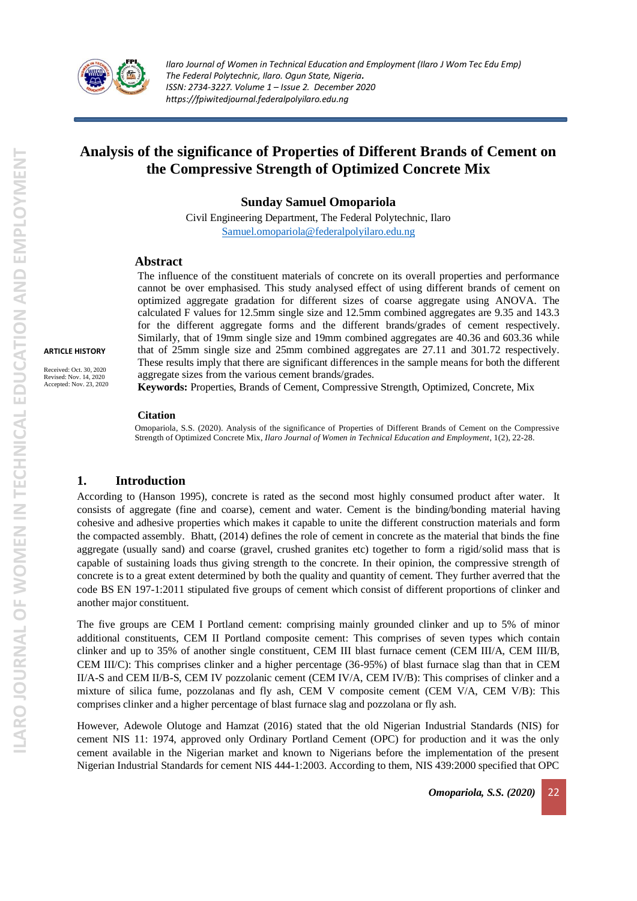

*Ilaro Journal of Women in Technical Education and Employment (Ilaro J Wom Tec Edu Emp) The Federal Polytechnic, Ilaro. Ogun State, Nigeria. ISSN: 2734-3227. Volume 1 – Issue 2. December 2020 https://fpiwitedjournal.federalpolyilaro.edu.ng*

# **Analysis of the significance of Properties of Different Brands of Cement on the Compressive Strength of Optimized Concrete Mix**

### **Sunday Samuel Omopariola**

Civil Engineering Department, The Federal Polytechnic, Ilaro [Samuel.omopariola@federalpolyilaro.edu.ng](mailto:Samuel.omopariola@federalpolyilaro.edu.ng)

#### **Abstract**

The influence of the constituent materials of concrete on its overall properties and performance cannot be over emphasised. This study analysed effect of using different brands of cement on optimized aggregate gradation for different sizes of coarse aggregate using ANOVA. The calculated F values for 12.5mm single size and 12.5mm combined aggregates are 9.35 and 143.3 for the different aggregate forms and the different brands/grades of cement respectively. Similarly, that of 19mm single size and 19mm combined aggregates are 40.36 and 603.36 while that of 25mm single size and 25mm combined aggregates are 27.11 and 301.72 respectively. These results imply that there are significant differences in the sample means for both the different aggregate sizes from the various cement brands/grades.

**Keywords:** Properties, Brands of Cement, Compressive Strength, Optimized, Concrete, Mix

#### **Citation**

Omopariola, S.S. (2020). Analysis of the significance of Properties of Different Brands of Cement on the Compressive Strength of Optimized Concrete Mix, *Ilaro Journal of Women in Technical Education and Employment,* 1(2), 22-28.

#### **1. Introduction**

According to (Hanson 1995), concrete is rated as the second most highly consumed product after water. It consists of aggregate (fine and coarse), cement and water. Cement is the binding/bonding material having cohesive and adhesive properties which makes it capable to unite the different construction materials and form the compacted assembly. Bhatt, (2014) defines the role of cement in concrete as the material that binds the fine aggregate (usually sand) and coarse (gravel, crushed granites etc) together to form a rigid/solid mass that is capable of sustaining loads thus giving strength to the concrete. In their opinion, the compressive strength of concrete is to a great extent determined by both the quality and quantity of cement. They further averred that the code BS EN 197-1:2011 stipulated five groups of cement which consist of different proportions of clinker and another major constituent.

The five groups are CEM I Portland cement: comprising mainly grounded clinker and up to 5% of minor additional constituents, CEM II Portland composite cement: This comprises of seven types which contain clinker and up to 35% of another single constituent, CEM III blast furnace cement (CEM III/A, CEM III/B, CEM III/C): This comprises clinker and a higher percentage (36-95%) of blast furnace slag than that in CEM II/A-S and CEM II/B-S, CEM IV pozzolanic cement (CEM IV/A, CEM IV/B): This comprises of clinker and a mixture of silica fume, pozzolanas and fly ash, CEM V composite cement (CEM V/A, CEM V/B): This comprises clinker and a higher percentage of blast furnace slag and pozzolana or fly ash.

However, Adewole Olutoge and Hamzat (2016) stated that the old Nigerian Industrial Standards (NIS) for cement NIS 11: 1974, approved only Ordinary Portland Cement (OPC) for production and it was the only cement available in the Nigerian market and known to Nigerians before the implementation of the present Nigerian Industrial Standards for cement NIS 444-1:2003. According to them, NIS 439:2000 specified that OPC

**ARTICLE HISTORY** Received: Oct. 30, 2020 Revised: Nov. 14, 2020 Accepted: Nov. 23, 2020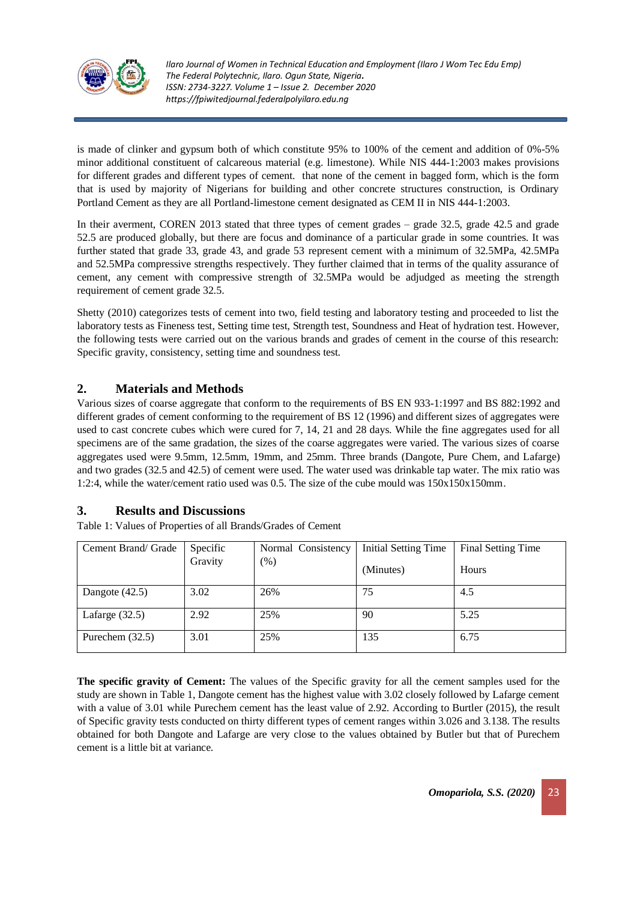

*Ilaro Journal of Women in Technical Education and Employment (Ilaro J Wom Tec Edu Emp) The Federal Polytechnic, Ilaro. Ogun State, Nigeria. ISSN: 2734-3227. Volume 1 – Issue 2. December 2020 https://fpiwitedjournal.federalpolyilaro.edu.ng*

is made of clinker and gypsum both of which constitute 95% to 100% of the cement and addition of 0%-5% minor additional constituent of calcareous material (e.g. limestone). While NIS 444-1:2003 makes provisions for different grades and different types of cement. that none of the cement in bagged form, which is the form that is used by majority of Nigerians for building and other concrete structures construction, is Ordinary Portland Cement as they are all Portland-limestone cement designated as CEM II in NIS 444-1:2003.

In their averment, COREN 2013 stated that three types of cement grades – grade 32.5, grade 42.5 and grade 52.5 are produced globally, but there are focus and dominance of a particular grade in some countries. It was further stated that grade 33, grade 43, and grade 53 represent cement with a minimum of 32.5MPa, 42.5MPa and 52.5MPa compressive strengths respectively. They further claimed that in terms of the quality assurance of cement, any cement with compressive strength of 32.5MPa would be adjudged as meeting the strength requirement of cement grade 32.5.

Shetty (2010) categorizes tests of cement into two, field testing and laboratory testing and proceeded to list the laboratory tests as Fineness test, Setting time test, Strength test, Soundness and Heat of hydration test. However, the following tests were carried out on the various brands and grades of cement in the course of this research: Specific gravity, consistency, setting time and soundness test.

## **2. Materials and Methods**

Various sizes of coarse aggregate that conform to the requirements of BS EN 933-1:1997 and BS 882:1992 and different grades of cement conforming to the requirement of BS 12 (1996) and different sizes of aggregates were used to cast concrete cubes which were cured for 7, 14, 21 and 28 days. While the fine aggregates used for all specimens are of the same gradation, the sizes of the coarse aggregates were varied. The various sizes of coarse aggregates used were 9.5mm, 12.5mm, 19mm, and 25mm. Three brands (Dangote, Pure Chem, and Lafarge) and two grades (32.5 and 42.5) of cement were used. The water used was drinkable tap water. The mix ratio was 1:2:4, while the water/cement ratio used was 0.5. The size of the cube mould was 150x150x150mm.

## **3. Results and Discussions**

| Cement Brand/ Grade | Specific | Normal Consistency | <b>Initial Setting Time</b> | Final Setting Time |
|---------------------|----------|--------------------|-----------------------------|--------------------|
|                     | Gravity  | $\frac{9}{6}$      | (Minutes)                   | Hours              |
| Dangote $(42.5)$    | 3.02     | 26%                | 75                          | 4.5                |
| Lafarge $(32.5)$    | 2.92     | 25%                | 90                          | 5.25               |
| Purechem $(32.5)$   | 3.01     | 25%                | 135                         | 6.75               |

Table 1: Values of Properties of all Brands/Grades of Cement

**The specific gravity of Cement:** The values of the Specific gravity for all the cement samples used for the study are shown in Table 1, Dangote cement has the highest value with 3.02 closely followed by Lafarge cement with a value of 3.01 while Purechem cement has the least value of 2.92. According to Burtler (2015), the result of Specific gravity tests conducted on thirty different types of cement ranges within 3.026 and 3.138. The results obtained for both Dangote and Lafarge are very close to the values obtained by Butler but that of Purechem cement is a little bit at variance.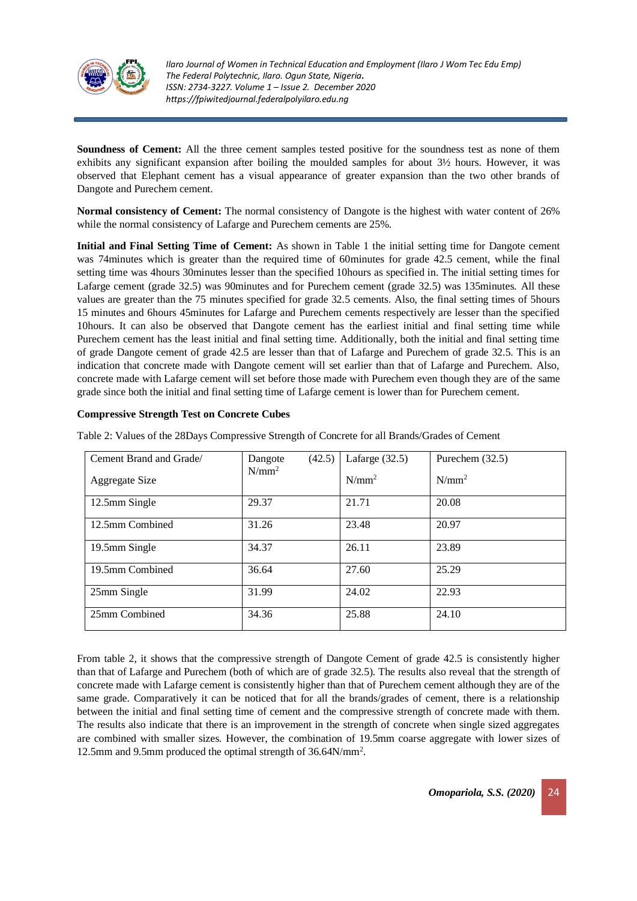

*Ilaro Journal of Women in Technical Education and Employment (Ilaro J Wom Tec Edu Emp) The Federal Polytechnic, Ilaro. Ogun State, Nigeria. ISSN: 2734-3227. Volume 1 – Issue 2. December 2020 https://fpiwitedjournal.federalpolyilaro.edu.ng*

**Soundness of Cement:** All the three cement samples tested positive for the soundness test as none of them exhibits any significant expansion after boiling the moulded samples for about 3½ hours. However, it was observed that Elephant cement has a visual appearance of greater expansion than the two other brands of Dangote and Purechem cement.

**Normal consistency of Cement:** The normal consistency of Dangote is the highest with water content of 26% while the normal consistency of Lafarge and Purechem cements are 25%.

**Initial and Final Setting Time of Cement:** As shown in Table 1 the initial setting time for Dangote cement was 74minutes which is greater than the required time of 60minutes for grade 42.5 cement, while the final setting time was 4hours 30minutes lesser than the specified 10hours as specified in. The initial setting times for Lafarge cement (grade 32.5) was 90minutes and for Purechem cement (grade 32.5) was 135minutes. All these values are greater than the 75 minutes specified for grade 32.5 cements. Also, the final setting times of 5hours 15 minutes and 6hours 45minutes for Lafarge and Purechem cements respectively are lesser than the specified 10hours. It can also be observed that Dangote cement has the earliest initial and final setting time while Purechem cement has the least initial and final setting time. Additionally, both the initial and final setting time of grade Dangote cement of grade 42.5 are lesser than that of Lafarge and Purechem of grade 32.5. This is an indication that concrete made with Dangote cement will set earlier than that of Lafarge and Purechem. Also, concrete made with Lafarge cement will set before those made with Purechem even though they are of the same grade since both the initial and final setting time of Lafarge cement is lower than for Purechem cement.

#### **Compressive Strength Test on Concrete Cubes**

| Cement Brand and Grade/ | (42.5)<br>Dangote | Lafarge $(32.5)$ | Purechem $(32.5)$ |
|-------------------------|-------------------|------------------|-------------------|
| Aggregate Size          | $N/mm^2$          | $N/mm^2$         | $N/mm^2$          |
| 12.5mm Single           | 29.37             | 21.71            | 20.08             |
| 12.5mm Combined         | 31.26             | 23.48            | 20.97             |
| 19.5mm Single           | 34.37             | 26.11            | 23.89             |
| 19.5mm Combined         | 36.64             | 27.60            | 25.29             |
| 25mm Single             | 31.99             | 24.02            | 22.93             |
| 25mm Combined           | 34.36             | 25.88            | 24.10             |

Table 2: Values of the 28Days Compressive Strength of Concrete for all Brands/Grades of Cement

From table 2, it shows that the compressive strength of Dangote Cement of grade 42.5 is consistently higher than that of Lafarge and Purechem (both of which are of grade 32.5). The results also reveal that the strength of concrete made with Lafarge cement is consistently higher than that of Purechem cement although they are of the same grade. Comparatively it can be noticed that for all the brands/grades of cement, there is a relationship between the initial and final setting time of cement and the compressive strength of concrete made with them. The results also indicate that there is an improvement in the strength of concrete when single sized aggregates are combined with smaller sizes. However, the combination of 19.5mm coarse aggregate with lower sizes of 12.5mm and 9.5mm produced the optimal strength of 36.64N/mm<sup>2</sup> .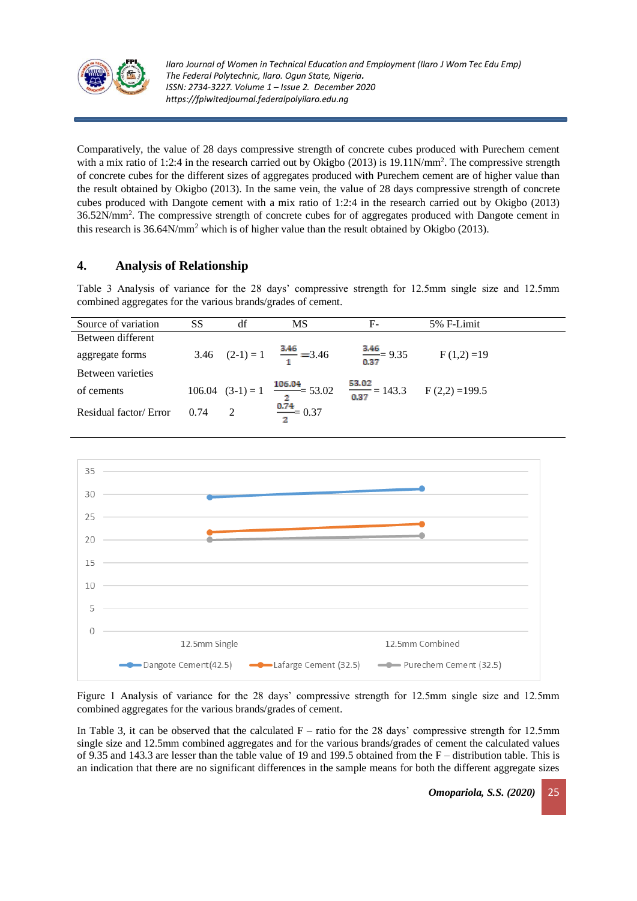

Comparatively, the value of 28 days compressive strength of concrete cubes produced with Purechem cement with a mix ratio of 1:2:4 in the research carried out by Okigbo (2013) is 19.11N/mm<sup>2</sup>. The compressive strength of concrete cubes for the different sizes of aggregates produced with Purechem cement are of higher value than the result obtained by Okigbo (2013). In the same vein, the value of 28 days compressive strength of concrete cubes produced with Dangote cement with a mix ratio of 1:2:4 in the research carried out by Okigbo (2013) 36.52N/mm<sup>2</sup> . The compressive strength of concrete cubes for of aggregates produced with Dangote cement in this research is 36.64N/mm<sup>2</sup> which is of higher value than the result obtained by Okigbo (2013).

# **4. Analysis of Relationship**

Table 3 Analysis of variance for the 28 days' compressive strength for 12.5mm single size and 12.5mm combined aggregates for the various brands/grades of cement.

| Source of variation    | <b>SS</b>       | df | МS                                       | $F -$                                                                                  | 5% F-Limit    |
|------------------------|-----------------|----|------------------------------------------|----------------------------------------------------------------------------------------|---------------|
| Between different      |                 |    |                                          |                                                                                        |               |
| aggregate forms        |                 |    | 3.46 $(2-1) = 1$ $\frac{3.46}{1} = 3.46$ | $\frac{3.46}{0.37}$ = 9.35                                                             | $F(1,2) = 19$ |
| Between varieties      |                 |    |                                          |                                                                                        |               |
| of cements             |                 |    |                                          | 106.04 (3-1) = 1 $\frac{106.04}{2}$ 53.02 $\frac{53.02}{0.37}$ = 143.3 F (2,2) = 199.5 |               |
| Residual factor/ Error | $0.74 \qquad 2$ |    | $\frac{0.74}{2}$ = 0.37                  |                                                                                        |               |



Figure 1 Analysis of variance for the 28 days' compressive strength for 12.5mm single size and 12.5mm combined aggregates for the various brands/grades of cement.

In Table 3, it can be observed that the calculated  $F -$  ratio for the 28 days' compressive strength for 12.5mm single size and 12.5mm combined aggregates and for the various brands/grades of cement the calculated values of 9.35 and 143.3 are lesser than the table value of 19 and 199.5 obtained from the  $F -$  distribution table. This is an indication that there are no significant differences in the sample means for both the different aggregate sizes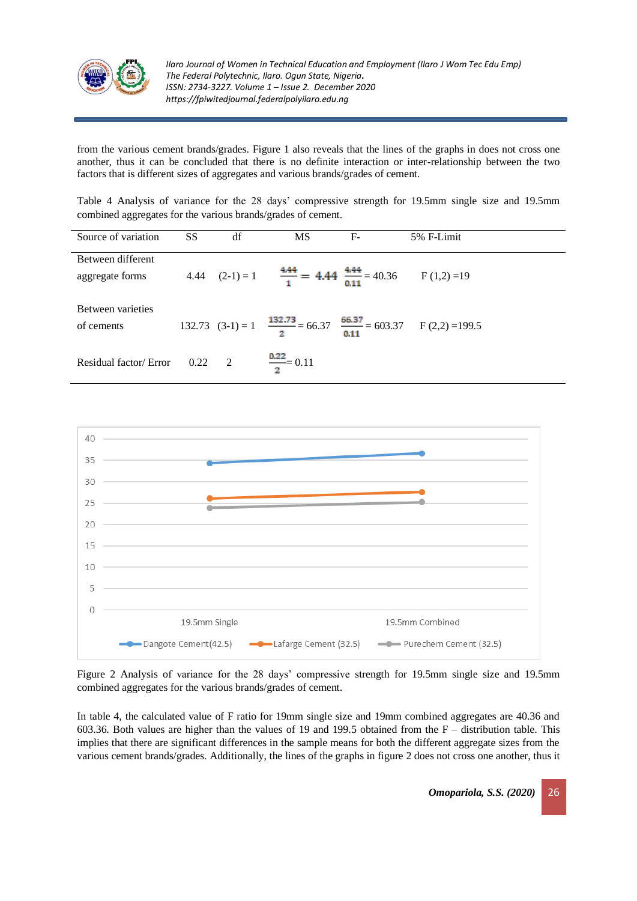

from the various cement brands/grades. Figure 1 also reveals that the lines of the graphs in does not cross one another, thus it can be concluded that there is no definite interaction or inter-relationship between the two factors that is different sizes of aggregates and various brands/grades of cement.

Table 4 Analysis of variance for the 28 days' compressive strength for 19.5mm single size and 19.5mm combined aggregates for the various brands/grades of cement.

| Source of variation                  | SS          | df | MS                                                                             | $F-$ | 5% F-Limit                                                                                |
|--------------------------------------|-------------|----|--------------------------------------------------------------------------------|------|-------------------------------------------------------------------------------------------|
| Between different<br>aggregate forms |             |    | 4.44 $(2-1) = 1$ $\frac{4.44}{1} = 4.44$ $\frac{4.44}{0.11} = 40.36$ F(1,2)=19 |      |                                                                                           |
| Between varieties<br>of cements      |             |    |                                                                                |      | 132.73 (3-1) = 1 $\frac{132.73}{2}$ = 66.37 $\frac{66.37}{0.11}$ = 603.37 F (2,2) = 199.5 |
| Residual factor/ Error               | $0.22 \t 2$ |    | $\frac{0.22}{2}$ = 0.11                                                        |      |                                                                                           |



Figure 2 Analysis of variance for the 28 days' compressive strength for 19.5mm single size and 19.5mm combined aggregates for the various brands/grades of cement.

In table 4, the calculated value of F ratio for 19mm single size and 19mm combined aggregates are 40.36 and 603.36. Both values are higher than the values of 19 and 199.5 obtained from the F – distribution table. This implies that there are significant differences in the sample means for both the different aggregate sizes from the various cement brands/grades. Additionally, the lines of the graphs in figure 2 does not cross one another, thus it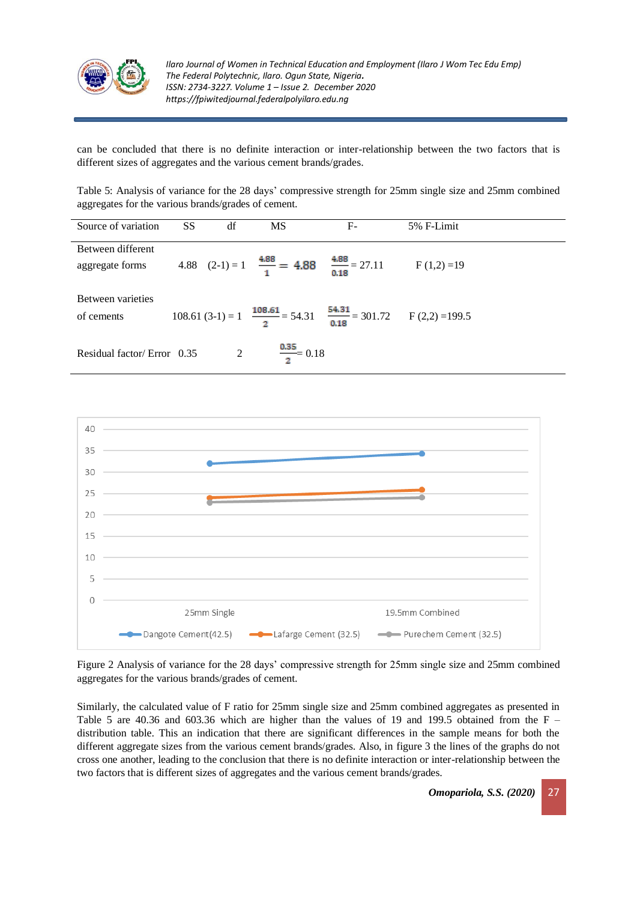

can be concluded that there is no definite interaction or inter-relationship between the two factors that is different sizes of aggregates and the various cement brands/grades.

Table 5: Analysis of variance for the 28 days' compressive strength for 25mm single size and 25mm combined aggregates for the various brands/grades of cement.

| Source of variation                  | <b>SS</b> | df | <b>MS</b>               | $F-$                                                                                      | 5% F-Limit |
|--------------------------------------|-----------|----|-------------------------|-------------------------------------------------------------------------------------------|------------|
| Between different<br>aggregate forms |           |    |                         | 4.88 $(2-1) = 1$ $\frac{4.88}{1} = 4.88$ $\frac{4.88}{0.18} = 27.11$ F $(1,2) = 19$       |            |
| Between varieties<br>of cements      |           |    |                         | 108.61 (3-1) = 1 $\frac{108.61}{2}$ = 54.31 $\frac{54.31}{0.18}$ = 301.72 F (2,2) = 199.5 |            |
| Residual factor/ Error 0.35          |           | 2  | $\frac{0.35}{2} = 0.18$ |                                                                                           |            |



Figure 2 Analysis of variance for the 28 days' compressive strength for 25mm single size and 25mm combined aggregates for the various brands/grades of cement.

Similarly, the calculated value of F ratio for 25mm single size and 25mm combined aggregates as presented in Table 5 are 40.36 and 603.36 which are higher than the values of 19 and 199.5 obtained from the  $F$ distribution table. This an indication that there are significant differences in the sample means for both the different aggregate sizes from the various cement brands/grades. Also, in figure 3 the lines of the graphs do not cross one another, leading to the conclusion that there is no definite interaction or inter-relationship between the two factors that is different sizes of aggregates and the various cement brands/grades.